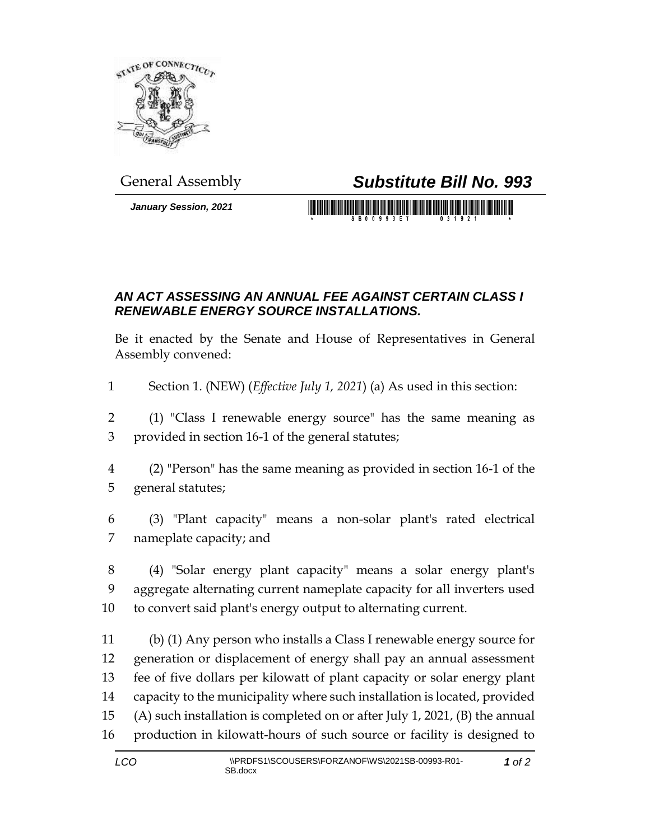

*January Session, 2021*

## General Assembly *Substitute Bill No. 993*

## *AN ACT ASSESSING AN ANNUAL FEE AGAINST CERTAIN CLASS I RENEWABLE ENERGY SOURCE INSTALLATIONS.*

Be it enacted by the Senate and House of Representatives in General Assembly convened:

- Section 1. (NEW) (*Effective July 1, 2021*) (a) As used in this section:
- (1) "Class I renewable energy source" has the same meaning as provided in section 16-1 of the general statutes;
- (2) "Person" has the same meaning as provided in section 16-1 of the general statutes;
- (3) "Plant capacity" means a non-solar plant's rated electrical nameplate capacity; and
- (4) "Solar energy plant capacity" means a solar energy plant's aggregate alternating current nameplate capacity for all inverters used to convert said plant's energy output to alternating current.
- (b) (1) Any person who installs a Class I renewable energy source for generation or displacement of energy shall pay an annual assessment fee of five dollars per kilowatt of plant capacity or solar energy plant capacity to the municipality where such installation is located, provided (A) such installation is completed on or after July 1, 2021, (B) the annual production in kilowatt-hours of such source or facility is designed to